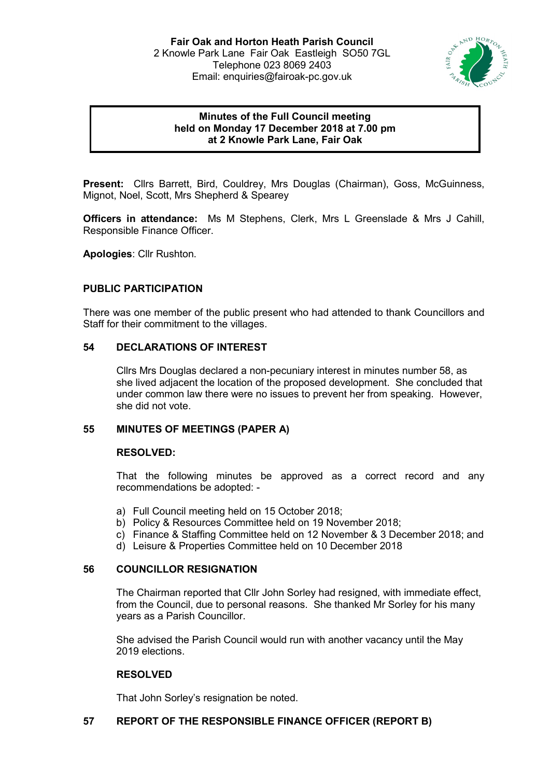

# **Minutes of the Full Council meeting held on Monday 17 December 2018 at 7.00 pm at 2 Knowle Park Lane, Fair Oak**

**Present:** Cllrs Barrett, Bird, Couldrey, Mrs Douglas (Chairman), Goss, McGuinness, Mignot, Noel, Scott, Mrs Shepherd & Spearey

**Officers in attendance:** Ms M Stephens, Clerk, Mrs L Greenslade & Mrs J Cahill, Responsible Finance Officer.

**Apologies**: Cllr Rushton.

# **PUBLIC PARTICIPATION**

There was one member of the public present who had attended to thank Councillors and Staff for their commitment to the villages.

# **54 DECLARATIONS OF INTEREST**

Cllrs Mrs Douglas declared a non-pecuniary interest in minutes number 58, as she lived adjacent the location of the proposed development. She concluded that under common law there were no issues to prevent her from speaking. However, she did not vote.

# **55 MINUTES OF MEETINGS (PAPER A)**

#### **RESOLVED:**

That the following minutes be approved as a correct record and any recommendations be adopted: -

- a) Full Council meeting held on 15 October 2018;
- b) Policy & Resources Committee held on 19 November 2018;
- c) Finance & Staffing Committee held on 12 November & 3 December 2018; and
- d) Leisure & Properties Committee held on 10 December 2018

#### **56 COUNCILLOR RESIGNATION**

The Chairman reported that Cllr John Sorley had resigned, with immediate effect, from the Council, due to personal reasons. She thanked Mr Sorley for his many years as a Parish Councillor.

She advised the Parish Council would run with another vacancy until the May 2019 elections.

# **RESOLVED**

That John Sorley's resignation be noted.

# **57 REPORT OF THE RESPONSIBLE FINANCE OFFICER (REPORT B)**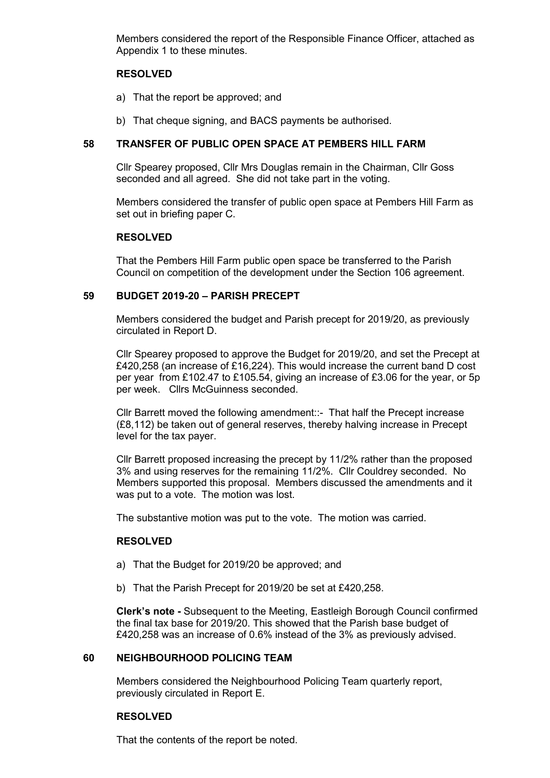Members considered the report of the Responsible Finance Officer, attached as Appendix 1 to these minutes.

## **RESOLVED**

- a) That the report be approved; and
- b) That cheque signing, and BACS payments be authorised.

### **58 TRANSFER OF PUBLIC OPEN SPACE AT PEMBERS HILL FARM**

Cllr Spearey proposed, Cllr Mrs Douglas remain in the Chairman, Cllr Goss seconded and all agreed. She did not take part in the voting.

Members considered the transfer of public open space at Pembers Hill Farm as set out in briefing paper C.

### **RESOLVED**

That the Pembers Hill Farm public open space be transferred to the Parish Council on competition of the development under the Section 106 agreement.

#### **59 BUDGET 2019-20 – PARISH PRECEPT**

Members considered the budget and Parish precept for 2019/20, as previously circulated in Report D.

Cllr Spearey proposed to approve the Budget for 2019/20, and set the Precept at £420,258 (an increase of £16,224). This would increase the current band D cost per year from £102.47 to £105.54, giving an increase of £3.06 for the year, or 5p per week. Cllrs McGuinness seconded.

Cllr Barrett moved the following amendment::- That half the Precept increase (£8,112) be taken out of general reserves, thereby halving increase in Precept level for the tax payer.

Cllr Barrett proposed increasing the precept by 11/2% rather than the proposed 3% and using reserves for the remaining 11/2%. Cllr Couldrey seconded. No Members supported this proposal. Members discussed the amendments and it was put to a vote. The motion was lost.

The substantive motion was put to the vote. The motion was carried.

# **RESOLVED**

- a) That the Budget for 2019/20 be approved; and
- b) That the Parish Precept for 2019/20 be set at £420,258.

**Clerk's note -** Subsequent to the Meeting, Eastleigh Borough Council confirmed the final tax base for 2019/20. This showed that the Parish base budget of £420,258 was an increase of 0.6% instead of the 3% as previously advised.

#### **60 NEIGHBOURHOOD POLICING TEAM**

Members considered the Neighbourhood Policing Team quarterly report, previously circulated in Report E.

#### **RESOLVED**

That the contents of the report be noted.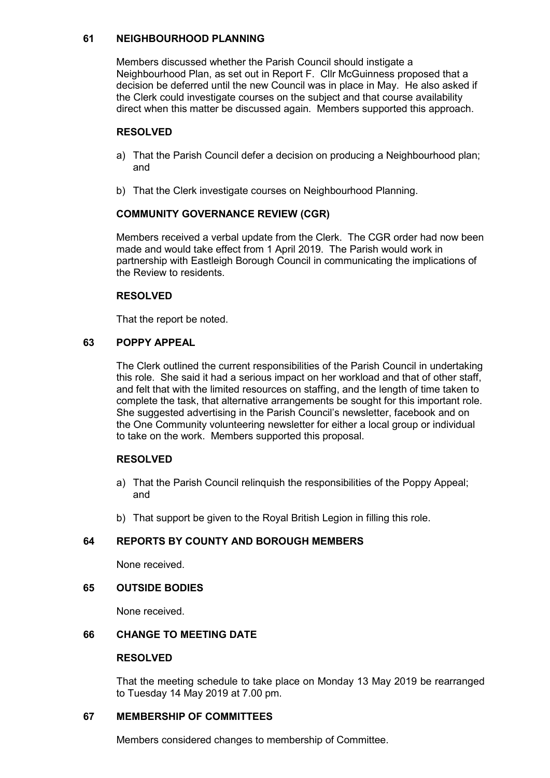# **61 NEIGHBOURHOOD PLANNING**

Members discussed whether the Parish Council should instigate a Neighbourhood Plan, as set out in Report F. Cllr McGuinness proposed that a decision be deferred until the new Council was in place in May. He also asked if the Clerk could investigate courses on the subject and that course availability direct when this matter be discussed again. Members supported this approach.

# **RESOLVED**

- a) That the Parish Council defer a decision on producing a Neighbourhood plan; and
- b) That the Clerk investigate courses on Neighbourhood Planning.

# **COMMUNITY GOVERNANCE REVIEW (CGR)**

Members received a verbal update from the Clerk. The CGR order had now been made and would take effect from 1 April 2019. The Parish would work in partnership with Eastleigh Borough Council in communicating the implications of the Review to residents.

### **RESOLVED**

That the report be noted.

# **63 POPPY APPEAL**

The Clerk outlined the current responsibilities of the Parish Council in undertaking this role. She said it had a serious impact on her workload and that of other staff, and felt that with the limited resources on staffing, and the length of time taken to complete the task, that alternative arrangements be sought for this important role. She suggested advertising in the Parish Council's newsletter, facebook and on the One Community volunteering newsletter for either a local group or individual to take on the work. Members supported this proposal.

# **RESOLVED**

- a) That the Parish Council relinquish the responsibilities of the Poppy Appeal; and
- b) That support be given to the Royal British Legion in filling this role.

# **64 REPORTS BY COUNTY AND BOROUGH MEMBERS**

None received.

# **65 OUTSIDE BODIES**

None received.

# **66 CHANGE TO MEETING DATE**

#### **RESOLVED**

That the meeting schedule to take place on Monday 13 May 2019 be rearranged to Tuesday 14 May 2019 at 7.00 pm.

# **67 MEMBERSHIP OF COMMITTEES**

Members considered changes to membership of Committee.